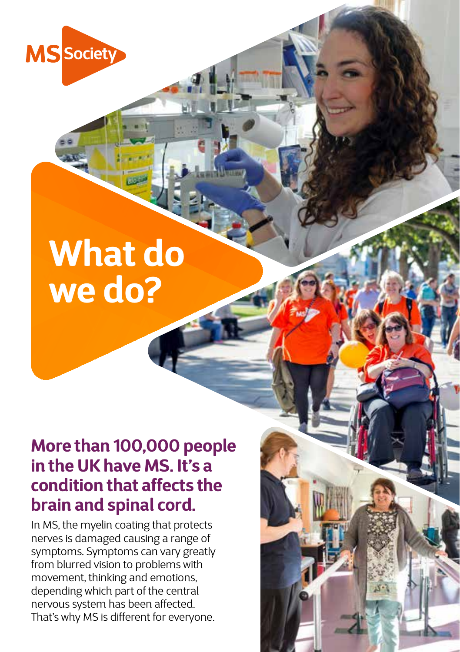

# **What do we do?**

# **More than 100,000 people in the UK have MS. It's a condition that affects the brain and spinal cord.**

In MS, the myelin coating that protects nerves is damaged causing a range of symptoms. Symptoms can vary greatly from blurred vision to problems with movement, thinking and emotions, depending which part of the central nervous system has been affected. That's why MS is different for everyone.